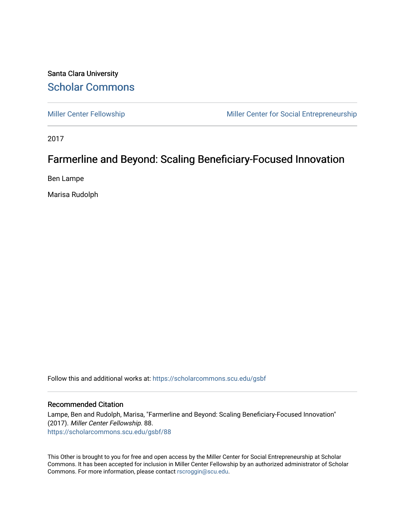### Santa Clara University [Scholar Commons](https://scholarcommons.scu.edu/)

[Miller Center Fellowship](https://scholarcommons.scu.edu/gsbf) Miller Center for Social Entrepreneurship

2017

### Farmerline and Beyond: Scaling Beneficiary-Focused Innovation

Ben Lampe

Marisa Rudolph

Follow this and additional works at: [https://scholarcommons.scu.edu/gsbf](https://scholarcommons.scu.edu/gsbf?utm_source=scholarcommons.scu.edu%2Fgsbf%2F88&utm_medium=PDF&utm_campaign=PDFCoverPages)

#### Recommended Citation

Lampe, Ben and Rudolph, Marisa, "Farmerline and Beyond: Scaling Beneficiary-Focused Innovation" (2017). Miller Center Fellowship. 88. [https://scholarcommons.scu.edu/gsbf/88](https://scholarcommons.scu.edu/gsbf/88?utm_source=scholarcommons.scu.edu%2Fgsbf%2F88&utm_medium=PDF&utm_campaign=PDFCoverPages) 

This Other is brought to you for free and open access by the Miller Center for Social Entrepreneurship at Scholar Commons. It has been accepted for inclusion in Miller Center Fellowship by an authorized administrator of Scholar Commons. For more information, please contact [rscroggin@scu.edu](mailto:rscroggin@scu.edu).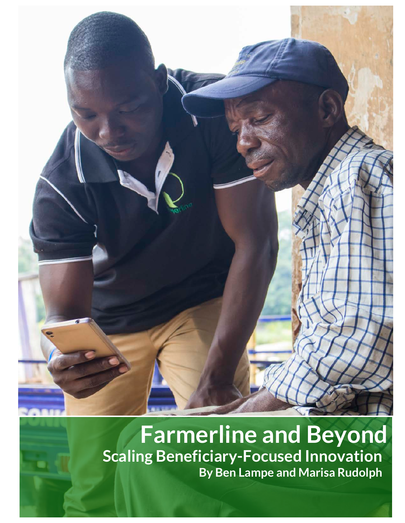

# **Farmerline and Beyond Scaling Beneficiary-Focused Innovation By Ben Lampe and Marisa Rudolph**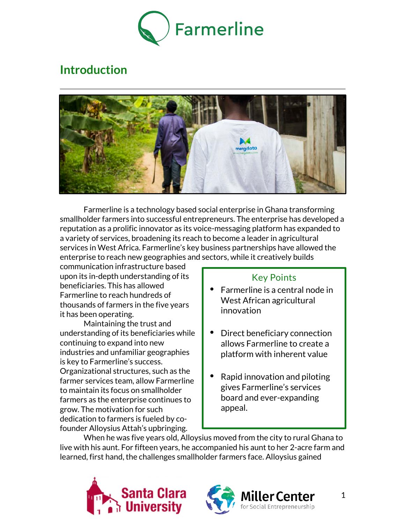

# **Introduction**



Farmerline is a technology based social enterprise in Ghana transforming smallholder farmers into successful entrepreneurs. The enterprise has developed a reputation as a prolific innovator as its voice-messaging platform has expanded to a variety of services, broadening its reach to become a leader in agricultural services in West Africa. Farmerline's key business partnerships have allowed the enterprise to reach new geographies and sectors, while it creatively builds

communication infrastructure based upon its in-depth understanding of its beneficiaries. This has allowed Farmerline to reach hundreds of thousands of farmers in the five years it has been operating.

Maintaining the trust and understanding of its beneficiaries while continuing to expand into new industries and unfamiliar geographies is key to Farmerline's success. Organizational structures, such as the farmer services team, allow Farmerline to maintain its focus on smallholder farmers as the enterprise continues to grow. The motivation for such dedication to farmers is fueled by cofounder Alloysius Attah's upbringing.

### Key Points

- Farmerline is a central node in West African agricultural innovation
- Direct beneficiary connection allows Farmerline to create a platform with inherent value
- Rapid innovation and piloting gives Farmerline's services board and ever-expanding appeal.

When he was five years old, Alloysius moved from the city to rural Ghana to live with his aunt. For fifteen years, he accompanied his aunt to her 2-acre farm and learned, first hand, the challenges smallholder farmers face. Alloysius gained





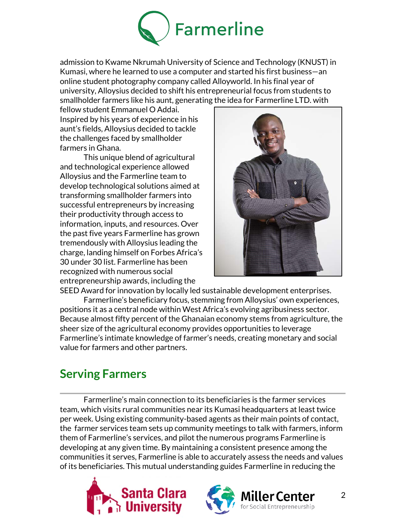

admission to Kwame Nkrumah University of Science and Technology (KNUST) in Kumasi, where he learned to use a computer and started his first business—an online student photography company called Alloyworld. In his final year of university, Alloysius decided to shift his entrepreneurial focus from students to smallholder farmers like his aunt, generating the idea for Farmerline LTD. with

fellow student Emmanuel O Addai. Inspired by his years of experience in his aunt's fields, Alloysius decided to tackle the challenges faced by smallholder farmers in Ghana.

This unique blend of agricultural and technological experience allowed Alloysius and the Farmerline team to develop technological solutions aimed at transforming smallholder farmers into successful entrepreneurs by increasing their productivity through access to information, inputs, and resources. Over the past five years Farmerline has grown tremendously with Alloysius leading the charge, landing himself on Forbes Africa's 30 under 30 list. Farmerline has been recognized with numerous social entrepreneurship awards, including the



SEED Award for innovation by locally led sustainable development enterprises. Farmerline's beneficiary focus, stemming from Alloysius' own experiences, positions it as a central node within West Africa's evolving agribusiness sector. Because almost fifty percent of the Ghanaian economy stems from agriculture, the sheer size of the agricultural economy provides opportunities to leverage Farmerline's intimate knowledge of farmer's needs, creating monetary and social value for farmers and other partners.

## **Serving Farmers**

Farmerline's main connection to its beneficiaries is the farmer services team, which visits rural communities near its Kumasi headquarters at least twice per week. Using existing community-based agents as their main points of contact, the farmer services team sets up community meetings to talk with farmers, inform them of Farmerline's services, and pilot the numerous programs Farmerline is developing at any given time. By maintaining a consistent presence among the communities it serves, Farmerline is able to accurately assess the needs and values of its beneficiaries. This mutual understanding guides Farmerline in reducing the





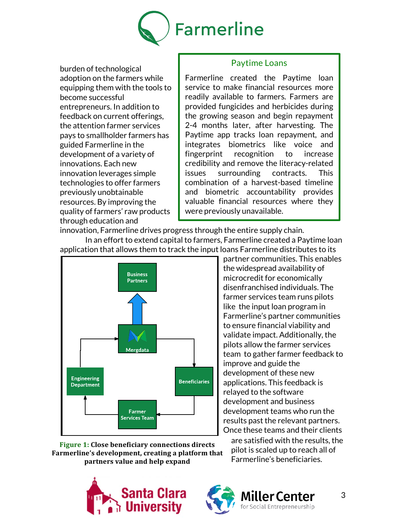

burden of technological adoption on the farmers while equipping them with the tools to become successful entrepreneurs. In addition to feedback on current offerings, the attention farmer services pays to smallholder farmers has guided Farmerline in the development of a variety of innovations. Each new innovation leverages simple technologies to offer farmers previously unobtainable resources. By improving the quality of farmers' raw products through education and

#### Paytime Loans

Farmerline created the Paytime loan service to make financial resources more readily available to farmers. Farmers are provided fungicides and herbicides during the growing season and begin repayment 2-4 months later, after harvesting. The Paytime app tracks loan repayment, and integrates biometrics like voice and fingerprint recognition to increase credibility and remove the literacy-related issues surrounding contracts. This combination of a harvest-based timeline and biometric accountability provides valuable financial resources where they were previously unavailable.

innovation, Farmerline drives progress through the entire supply chain. In an effort to extend capital to farmers, Farmerline created a Paytime loan



**Figure 1: Close beneficiary connections directs** Farmerline's development, creating a platform that **partners** value and help expand

partner communities. This enables the widespread availability of microcredit for economically disenfranchised individuals. The farmer services team runs pilots like the input loan program in Farmerline's partner communities to ensure financial viability and validate impact. Additionally, the pilots allow the farmer services team to gather farmer feedback to improve and guide the development of these new applications. This feedback is relayed to the software development and business development teams who run the results past the relevant partners. Once these teams and their clients

are satisfied with the results, the pilot is scaled up to reach all of Farmerline's beneficiaries.





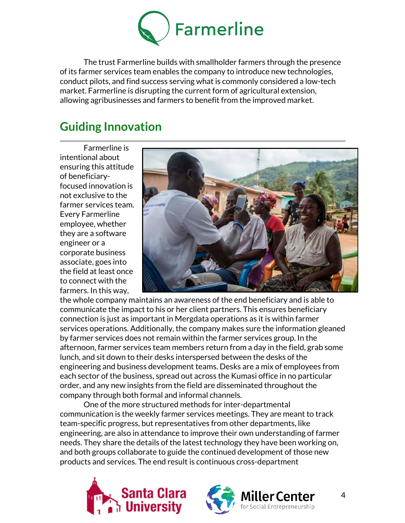

The trust Farmerline builds with smallholder farmers through the presence of its farmer services team enables the company to introduce new technologies, conduct pilots, and find success serving what is commonly considered a low-tech market. Farmerline is disrupting the current form of agricultural extension, allowing agribusinesses and farmers to benefit from the improved market.

# **Guiding Innovation**

Farmerline is intentional about ensuring this attitude of beneficiaryfocused innovation is not exclusive to the farmer services team. Every Farmerline employee, whether they are a software engineer or a corporate business associate, goes into the field at least once to connect with the farmers. In this way,



the whole company maintains an awareness of the end beneficiary and is able to communicate the impact to his or her client partners. This ensures beneficiary connection is just as important in Mergdata operations as it is within farmer services operations. Additionally, the company makes sure the information gleaned by farmer services does not remain within the farmer services group. In the afternoon, farmer services team members return from a day in the field, grab some lunch, and sit down to their desks interspersed between the desks of the engineering and business development teams. Desks are a mix of employees from each sector of the business, spread out across the Kumasi office in no particular order, and any new insights from the field are disseminated throughout the company through both formal and informal channels.

One of the more structured methods for inter-departmental communication is the weekly farmer services meetings. They are meant to track team-specific progress, but representatives from other departments, like engineering, are also in attendance to improve their own understanding of farmer needs. They share the details of the latest technology they have been working on, and both groups collaborate to guide the continued development of those new products and services. The end result is continuous cross-department





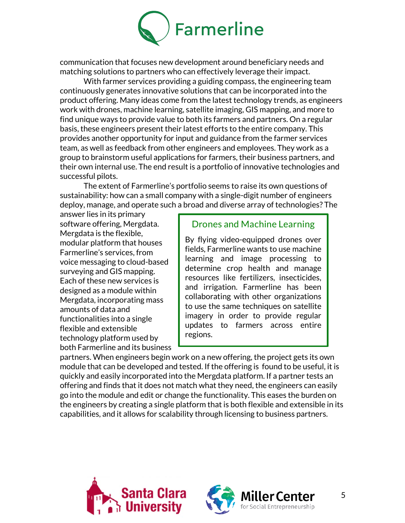

communication that focuses new development around beneficiary needs and matching solutions to partners who can effectively leverage their impact.

With farmer services providing a guiding compass, the engineering team continuously generates innovative solutions that can be incorporated into the product offering. Many ideas come from the latest technology trends, as engineers work with drones, machine learning, satellite imaging, GIS mapping, and more to find unique ways to provide value to both its farmers and partners. On a regular basis, these engineers present their latest efforts to the entire company. This provides another opportunity for input and guidance from the farmer services team, as well as feedback from other engineers and employees. They work as a group to brainstorm useful applications for farmers, their business partners, and their own internal use. The end result is a portfolio of innovative technologies and successful pilots.

The extent of Farmerline's portfolio seems to raise its own questions of sustainability: how can a small company with a single-digit number of engineers deploy, manage, and operate such a broad and diverse array of technologies? The

answer lies in its primary software offering, Mergdata. Mergdata is the flexible, modular platform that houses Farmerline's services, from voice messaging to cloud-based surveying and GIS mapping. Each of these new services is designed as a module within Mergdata, incorporating mass amounts of data and functionalities into a single flexible and extensible technology platform used by both Farmerline and its business

### Drones and Machine Learning

By flying video-equipped drones over fields, Farmerline wants to use machine learning and image processing to determine crop health and manage resources like fertilizers, insecticides, and irrigation. Farmerline has been collaborating with other organizations to use the same techniques on satellite imagery in order to provide regular updates to farmers across entire regions.

partners. When engineers begin work on a new offering, the project gets its own module that can be developed and tested. If the offering is found to be useful, it is quickly and easily incorporated into the Mergdata platform. If a partner tests an offering and finds that it does not match what they need, the engineers can easily go into the module and edit or change the functionality. This eases the burden on the engineers by creating a single platform that is both flexible and extensible in its capabilities, and it allows for scalability through licensing to business partners.



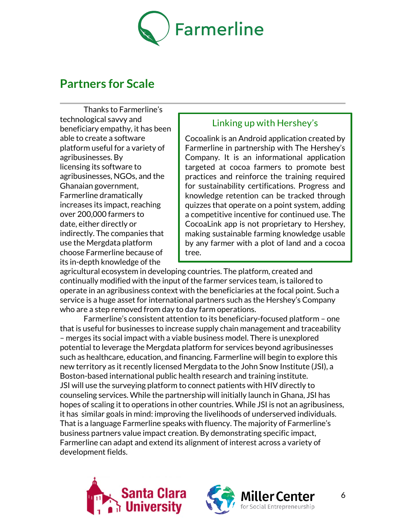

### **Partners for Scale**

Thanks to Farmerline's technological savvy and beneficiary empathy, it has been able to create a software platform useful for a variety of agribusinesses. By licensing its software to agribusinesses, NGOs, and the Ghanaian government, Farmerline dramatically increases its impact, reaching over 200,000 farmers to date, either directly or indirectly. The companies that use the Mergdata platform choose Farmerline because of its in-depth knowledge of the

### Linking up with Hershey's

Cocoalink is an Android application created by Farmerline in partnership with The Hershey's Company. It is an informational application targeted at cocoa farmers to promote best practices and reinforce the training required for sustainability certifications. Progress and knowledge retention can be tracked through quizzes that operate on a point system, adding a competitive incentive for continued use. The CocoaLink app is not proprietary to Hershey, making sustainable farming knowledge usable by any farmer with a plot of land and a cocoa tree.

agricultural ecosystem in developing countries. The platform, created and continually modified with the input of the farmer services team, is tailored to operate in an agribusiness context with the beneficiaries at the focal point. Such a service is a huge asset for international partners such as the Hershey's Company who are a step removed from day to day farm operations.

Farmerline's consistent attention to its beneficiary-focused platform – one that is useful for businesses to increase supply chain management and traceability – merges its social impact with a viable business model. There is unexplored potential to leverage the Mergdata platform for services beyond agribusinesses such as healthcare, education, and financing. Farmerline will begin to explore this new territory as it recently licensed Mergdata to the John Snow Institute (JSI), a Boston-based international public health research and training institute. JSI will use the surveying platform to connect patients with HIV directly to counseling services. While the partnership will initially launch in Ghana, JSI has hopes of scaling it to operations in other countries. While JSI is not an agribusiness, it has similar goals in mind: improving the livelihoods of underserved individuals. That is a language Farmerline speaks with fluency. The majority of Farmerline's business partners value impact creation. By demonstrating specific impact, Farmerline can adapt and extend its alignment of interest across a variety of development fields.





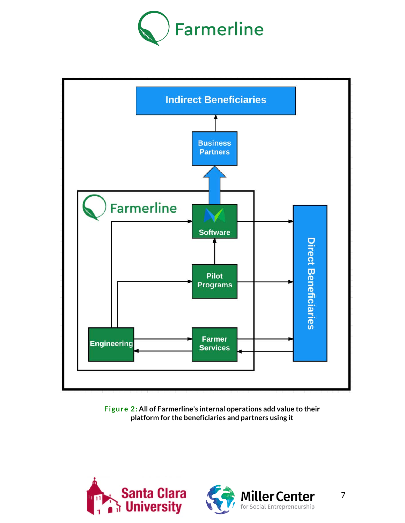



**Figure 2: All of Farmerline's internal operations add value to their platform for the beneficiaries and partners using it**